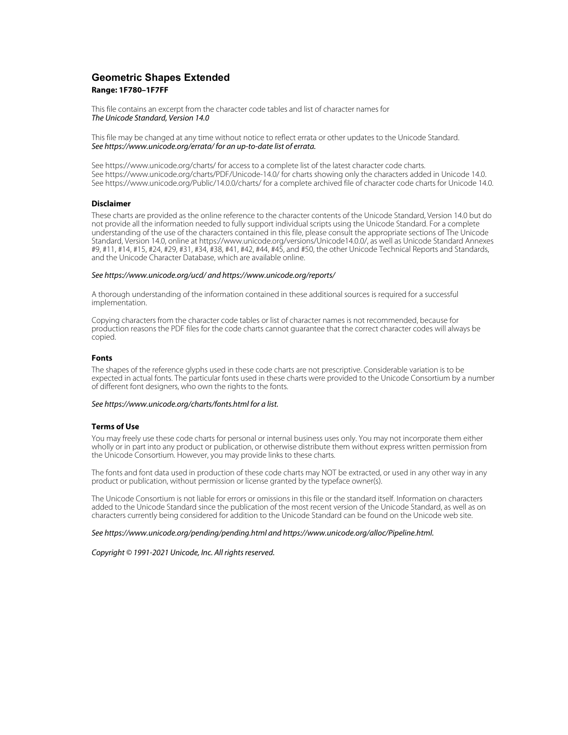# **Geometric Shapes Extended Range: 1F780–1F7FF**

This file contains an excerpt from the character code tables and list of character names for The Unicode Standard, Version 14.0

This file may be changed at any time without notice to reflect errata or other updates to the Unicode Standard. See https://www.unicode.org/errata/ for an up-to-date list of errata.

See https://www.unicode.org/charts/ for access to a complete list of the latest character code charts. See https://www.unicode.org/charts/PDF/Unicode-14.0/ for charts showing only the characters added in Unicode 14.0. See https://www.unicode.org/Public/14.0.0/charts/ for a complete archived file of character code charts for Unicode 14.0.

## **Disclaimer**

These charts are provided as the online reference to the character contents of the Unicode Standard, Version 14.0 but do not provide all the information needed to fully support individual scripts using the Unicode Standard. For a complete understanding of the use of the characters contained in this file, please consult the appropriate sections of The Unicode Standard, Version 14.0, online at https://www.unicode.org/versions/Unicode14.0.0/, as well as Unicode Standard Annexes #9, #11, #14, #15, #24, #29, #31, #34, #38, #41, #42, #44, #45, and #50, the other Unicode Technical Reports and Standards, and the Unicode Character Database, which are available online.

#### See https://www.unicode.org/ucd/ and https://www.unicode.org/reports/

A thorough understanding of the information contained in these additional sources is required for a successful implementation.

Copying characters from the character code tables or list of character names is not recommended, because for production reasons the PDF files for the code charts cannot guarantee that the correct character codes will always be copied.

#### **Fonts**

The shapes of the reference glyphs used in these code charts are not prescriptive. Considerable variation is to be expected in actual fonts. The particular fonts used in these charts were provided to the Unicode Consortium by a number of different font designers, who own the rights to the fonts.

### See https://www.unicode.org/charts/fonts.html for a list.

#### **Terms of Use**

You may freely use these code charts for personal or internal business uses only. You may not incorporate them either wholly or in part into any product or publication, or otherwise distribute them without express written permission from the Unicode Consortium. However, you may provide links to these charts.

The fonts and font data used in production of these code charts may NOT be extracted, or used in any other way in any product or publication, without permission or license granted by the typeface owner(s).

The Unicode Consortium is not liable for errors or omissions in this file or the standard itself. Information on characters added to the Unicode Standard since the publication of the most recent version of the Unicode Standard, as well as on characters currently being considered for addition to the Unicode Standard can be found on the Unicode web site.

#### See https://www.unicode.org/pending/pending.html and https://www.unicode.org/alloc/Pipeline.html.

Copyright © 1991-2021 Unicode, Inc. All rights reserved.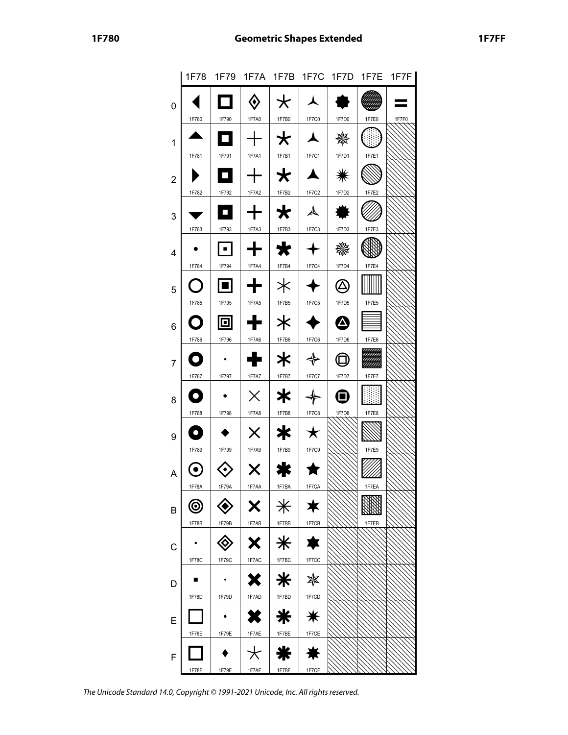|                |         |                                  |           |                 |                      |               |       | 1F78 1F79 1F7A 1F7B 1F7C 1F7D 1F7E 1F7F |
|----------------|---------|----------------------------------|-----------|-----------------|----------------------|---------------|-------|-----------------------------------------|
| 0              |         |                                  | ◈         | $\star$         | $\blacktriangle$     |               |       |                                         |
|                | 1F780   | 1F790                            | 1F7A0     | 1F7B0           | 1F7C0                | 1F7D0         | 1F7E0 | 1F7F0                                   |
| 1              |         | О                                | $\vert +$ | $\star$         | $\blacktriangle$     | 器             | O     |                                         |
|                | 1F781   | 1F791                            | 1F7A1     | 1F7B1           | 1F7C1                | 1F7D1         | 1F7E1 |                                         |
| $\mathbf 2$    |         | Q                                | │┿│       | $\star$ $\star$ |                      | ☀             |       |                                         |
|                | 1F782   | 1F792                            | 1F7A2     | 1F7B2           | 1F7C2                | 1F7D2         | 1F7E2 |                                         |
| 3              |         | o                                | $+$       | $\bigstar$      | $\blacktriangle$     |               |       |                                         |
|                | 1F783   | 1F793                            | 1F7A3     | 1F7B3           | 1F7C3                | 1F7D3         | 1F7E3 |                                         |
| 4              |         |                                  | ⊡ ⊢+      | $\bigstar$      | $+$                  | 畿             |       |                                         |
|                | 1F784   | 1F794                            | 1F7A4     | 1F7B4           | 1F7C4                | 1F7D4         | 1F7E4 |                                         |
| 5              | O       | 回                                | ╋║        | $\ast$          |                      | $\circled{a}$ |       |                                         |
|                | 1F785   | 1F795                            | 1F7A5     | 1F7B5           | $1F7C5$              | 1F7D5         | 1F7E5 |                                         |
| 6              | O       | 回                                | ╈         | $\ast$          |                      | ☎             |       |                                         |
|                | 1F786   | 1F796                            | 1F7A6     | 1F7B6           | 1F7C6                | 1F7D6         | 1F7E6 |                                         |
| $\overline{7}$ | O       |                                  | ╋╎        | *∶              | $\clubsuit$<br>1F7C7 | $\bigoplus$   | ▒     |                                         |
|                | 1F787   | 1F797                            | 1F7A7     | 1F7B7           |                      | 1F7D7         | 1F7E7 |                                         |
| 8              | O       |                                  | $\times$  | *∶              |                      | ❶             |       |                                         |
|                | 1F788   | 1F798                            | 1F7A8     | 1F7B8           | 1F7C8                | 1F7D8         | 1F7E8 |                                         |
| 9              | O       | 1F799                            | $\times$  | * ∣<br>1F7B9    | ★                    |               | 1F7E9 |                                         |
| A              | 1F789   |                                  | $1F7A9$   |                 | 1F7C9                |               |       |                                         |
|                | $\odot$ |                                  | X         | ₩               |                      |               |       |                                         |
|                | 1F78A   | 1F79A                            | 1F7AA     | 1F7BA           | 1F7CA                |               | 1F7EA |                                         |
| B              | ⊚       |                                  | X         | $\ast$          | ★                    |               |       |                                         |
|                | 1F78B   | 1F79B                            | 1F7AB     | 1F7BB           | 1F7CB                |               | 1F7EB |                                         |
| С              |         | $\textcolor{blue}{\diamondsuit}$ | X         | $\ast$          | 享                    |               |       |                                         |
|                | 1F78C   | 1F79C                            | 1F7AC     | 1F7BC           | 1F7CC                |               |       |                                         |
| D              |         |                                  | X         | $*1$            | ☀                    |               |       |                                         |
|                | 1F78D   | 1F79D                            | 1F7AD     | 1F7BD           | 1F7CD                |               |       |                                         |
| E              |         |                                  | X         | ⋇               | $\ast$               |               |       |                                         |
|                | 1F78E   | 1F79E                            | 1F7AE     | 1F7BE           | 1F7CE                |               |       |                                         |
| F              |         |                                  | $\star$   | ₩               |                      |               |       |                                         |
|                | 1F78F   | 1F79F                            | 1F7AF     | 1F7BF           | 1F7CF                |               |       |                                         |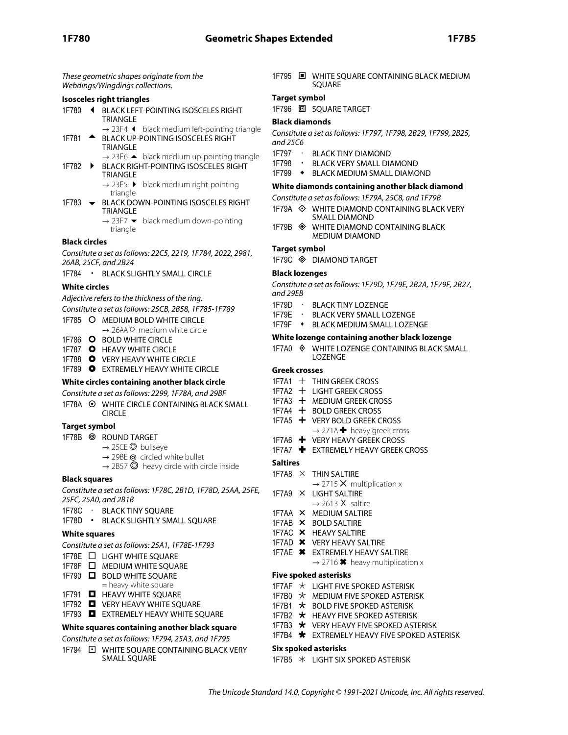These geometric shapes originate from the Webdings/Wingdings collections.

## **Isosceles right triangles**

- 1F780 **4** BLACK LEFT-POINTING ISOSCELES RIGHT TRIANGLE
- → 23F4 ⏴ black medium left-pointing triangle 1F781 **A** BLACK UP-POINTING ISOSCELES RIGHT
	- TRIANGLE  $\rightarrow$  23F6  $\blacktriangle$  black medium up-pointing triangle
- 1F782  $\rightarrow$  BLACK RIGHT-POINTING ISOSCELES RIGHT TRIANGLE  $\rightarrow$  23F5  $\rightarrow$  black medium right-pointing
	- triangle
- 1F783  $\blacktriangleright$  BLACK DOWN-POINTING ISOSCELES RIGHT TRIANGLE
	- $\rightarrow$  23F7  $\blacktriangleright$  black medium down-pointing triangle

### **Black circles**

Constitute a set as follows: 22C5, 2219, 1F784, 2022, 2981, 26AB, 25CF, and 2B24

1F784 • BLACK SLIGHTLY SMALL CIRCLE

## **White circles**

Adjective refers to the thickness of the ring.

Constitute a set as follows: 25CB, 2B58, 1F785-1F789

- 1F785 MEDIUM BOLD WHITE CIRCLE
- → 26AA medium white circle
- 1F786 O BOLD WHITE CIRCLE
- 1F787 **O** HEAVY WHITE CIRCLE
- 1F788 VERY HEAVY WHITE CIRCLE
- 1F789 EXTREMELY HEAVY WHITE CIRCLE

## **White circles containing another black circle**

Constitute a set as follows: 2299, 1F78A, and 29BF

1F78A  **WHITE CIRCLE CONTAINING BLACK SMALL** CIRCLE

## **Target symbol**

- 1F78B ROUND TARGET
	- $\rightarrow$  25CE  $\odot$  bullseye
		- $\rightarrow$  29BE  $\odot$  circled white bullet
		- $\rightarrow$  2B57  $\odot$  heavy circle with circle inside

## **Black squares**

Constitute a set as follows: 1F78C, 2B1D, 1F78D, 25AA, 25FE, 25FC, 25A0, and 2B1B

- 1F78C · BLACK TINY SQUARE
- 1F78D BLACK SLIGHTLY SMALL SQUARE

## **White squares**

- Constitute a set as follows: 25A1, 1F78E-1F793
- 1F78E **D** LIGHT WHITE SQUARE
- 1F78F **NEDIUM WHITE SQUARE**
- 1F790 **D** BOLD WHITE SOUARE
- = heavy white square
- 1F791 **NEAVY WHITE SQUARE**
- 1F792 **D** VERY HEAVY WHITE SQUARE 1F793 **E** EXTREMELY HEAVY WHITE SOUARE

# **White squares containing another black square**

# Constitute a set as follows: 1F794, 25A3, and 1F795

1F794  $\Box$  WHITE SOUARE CONTAINING BLACK VERY SMALL SQUARE

1F795  $\Box$  WHITE SQUARE CONTAINING BLACK MEDIUM **SOUARE** 

## **Target symbol**

1F796 回 SQUARE TARGET

## **Black diamonds**

Constitute a set as follows: 1F797, 1F798, 2B29, 1F799, 2B25, and 25C6

- 1F797 · BLACK TINY DIAMOND
- 1F798 BLACK VERY SMALL DIAMOND
- 1F799 . BLACK MEDIUM SMALL DIAMOND

## **White diamonds containing another black diamond**

Constitute a set as follows: 1F79A, 25C8, and 1F79B

- 1F79A WHITE DIAMOND CONTAINING BLACK VERY SMALL DIAMOND
- 1F79B WHITE DIAMOND CONTAINING BLACK MEDIUM DIAMOND

## **Target symbol**

1F79C DIAMOND TARGET

### **Black lozenges**

Constitute a set as follows: 1F79D, 1F79E, 2B2A, 1F79F, 2B27, and 29EB

- 1F79D · BLACK TINY LOZENGE
- 1F79E · BLACK VERY SMALL LOZENGE
- 1F79F BLACK MEDIUM SMALL LOZENGE

### **White lozenge containing another black lozenge**

1F7A0 WHITE LOZENGE CONTAINING BLACK SMALL LOZENGE

## **Greek crosses**

- $1$ F7A1  $+$  THIN GREEK CROSS
- 1F7A2 + LIGHT GREEK CROSS
- 1F7A3 + MEDIUM GREEK CROSS
- 1F7A4 + BOLD GREEK CROSS
- 1F7A5 + VERY BOLD GREEK CROSS  $\rightarrow$  271A  $\blacktriangleright$  heavy greek cross
- 1F7A6 VERY HEAVY GREEK CROSS
- 1F7A7 **+** EXTREMELY HEAVY GREEK CROSS

## **Saltires**

- 1F7A8  $\times$  THIN SALTIRE
	- $\rightarrow$  2715  $\times$  multiplication x
- 1F7A9 LIGHT SALTIRE  $\rightarrow$  2613 X saltire
- 1F7AA MEDIUM SALTIRE
- 1F7AB X BOLD SALTIRE
- 1F7AC X HEAVY SALTIRE
- 1F7AD **X** VERY HEAVY SALTIRE
- 1F7AE EXTREMELY HEAVY SALTIRE  $\rightarrow$  2716  $*$  heavy multiplication x
- **Five spoked asterisks**
- 1F7AF  $\star$  LIGHT FIVE SPOKED ASTERISK
- 1F7B0  $\star$  MEDIUM FIVE SPOKED ASTERISK
- 1F7B1  $\star$  BOLD FIVE SPOKED ASTERISK
- 1F7B2  $\star$  HEAVY FIVE SPOKED ASTERISK
- 1F7B3  $\star$  VERY HEAVY FIVE SPOKED ASTERISK
- 1F7B4 **\*** EXTREMELY HEAVY FIVE SPOKED ASTERISK

## **Six spoked asterisks**

1F7B5 LIGHT SIX SPOKED ASTERISK